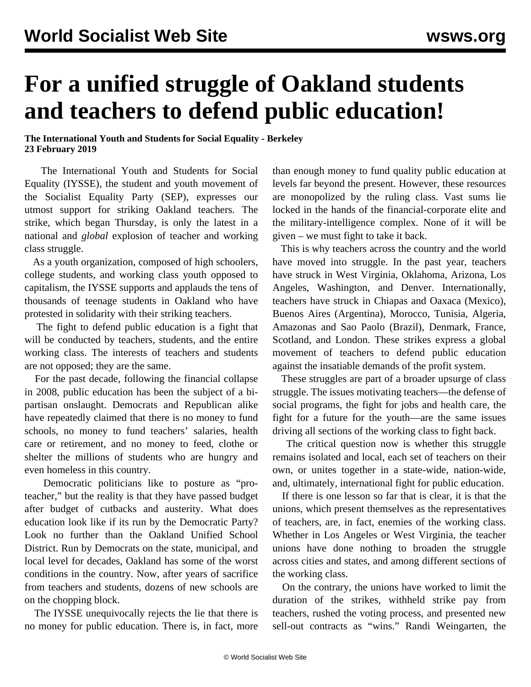## **For a unified struggle of Oakland students and teachers to defend public education!**

## **The International Youth and Students for Social Equality - Berkeley 23 February 2019**

 The International Youth and Students for Social Equality (IYSSE), the student and youth movement of the Socialist Equality Party (SEP), expresses our utmost support for striking Oakland teachers. The strike, which began Thursday, is only the latest in a national and *global* explosion of teacher and working class struggle.

 As a youth organization, composed of high schoolers, college students, and working class youth opposed to capitalism, the IYSSE supports and applauds the tens of thousands of teenage students in Oakland who have protested in solidarity with their striking teachers.

 The fight to defend public education is a fight that will be conducted by teachers, students, and the entire working class. The interests of teachers and students are not opposed; they are the same.

 For the past decade, following the financial collapse in 2008, public education has been the subject of a bipartisan onslaught. Democrats and Republican alike have repeatedly claimed that there is no money to fund schools, no money to fund teachers' salaries, health care or retirement, and no money to feed, clothe or shelter the millions of students who are hungry and even homeless in this country.

 Democratic politicians like to posture as "proteacher," but the reality is that they have passed budget after budget of cutbacks and austerity. What does education look like if its run by the Democratic Party? Look no further than the Oakland Unified School District. Run by Democrats on the state, municipal, and local level for decades, Oakland has some of the worst conditions in the country. Now, after years of sacrifice from teachers and students, dozens of new schools are on the chopping block.

 The IYSSE unequivocally rejects the lie that there is no money for public education. There is, in fact, more than enough money to fund quality public education at levels far beyond the present. However, these resources are monopolized by the ruling class. Vast sums lie locked in the hands of the financial-corporate elite and the military-intelligence complex. None of it will be given – we must fight to take it back.

 This is why teachers across the country and the world have moved into struggle. In the past year, teachers have struck in West Virginia, Oklahoma, Arizona, Los Angeles, Washington, and Denver. Internationally, teachers have struck in Chiapas and Oaxaca (Mexico), Buenos Aires (Argentina), Morocco, Tunisia, Algeria, Amazonas and Sao Paolo (Brazil), Denmark, France, Scotland, and London. These strikes express a global movement of teachers to defend public education against the insatiable demands of the profit system.

 These struggles are part of a broader upsurge of class struggle. The issues motivating teachers—the defense of social programs, the fight for jobs and health care, the fight for a future for the youth—are the same issues driving all sections of the working class to fight back.

 The critical question now is whether this struggle remains isolated and local, each set of teachers on their own, or unites together in a state-wide, nation-wide, and, ultimately, international fight for public education.

 If there is one lesson so far that is clear, it is that the unions, which present themselves as the representatives of teachers, are, in fact, enemies of the working class. Whether in Los Angeles or West Virginia, the teacher unions have done nothing to broaden the struggle across cities and states, and among different sections of the working class.

 On the contrary, the unions have worked to limit the duration of the strikes, withheld strike pay from teachers, rushed the voting process, and presented new sell-out contracts as "wins." Randi Weingarten, the